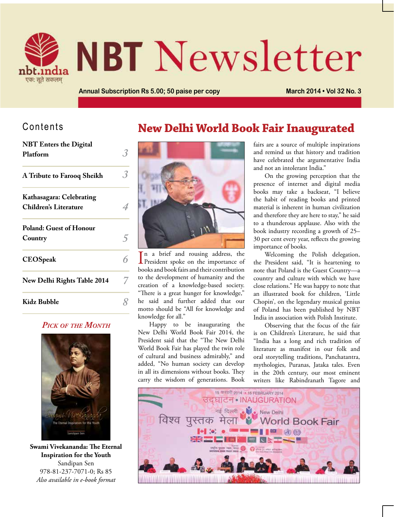

# **NBT** Newsletter

**Annual Subscription Rs 5.00; 50 paise per copy March 2014 • Vol 32 No. 3**

#### Contents

 $\overline{\phantom{a}}$ 

| <b>NBI</b> Enters the Digital<br>Platform                |  |
|----------------------------------------------------------|--|
| A Tribute to Farooq Sheikh                               |  |
| Kathasagara: Celebrating<br><b>Children's Literature</b> |  |
| <b>Poland: Guest of Honour</b><br>Country                |  |
| <b>CEOSpeak</b>                                          |  |
| New Delhi Rights Table 2014                              |  |
| Kidz Bubble                                              |  |

#### *Pick of the Month*



**Swami Vivekananda: The Eternal Inspiration for the Youth** Sandipan Sen 978-81-237-7071-0; Rs 85 *Also available in e-book format*

# **New Delhi World Book Fair Inaugurated**



In a brief and rousing address, the<br>President spoke on the importance of n a brief and rousing address, the books and book fairs and their contribution to the development of humanity and the creation of a knowledge-based society. "There is a great hunger for knowledge," he said and further added that our motto should be "All for knowledge and knowledge for all."

Happy to be inaugurating the New Delhi World Book Fair 2014, the President said that the "The New Delhi World Book Fair has played the twin role of cultural and business admirably," and added, "No human society can develop in all its dimensions without books. They carry the wisdom of generations. Book

fairs are a source of multiple inspirations and remind us that history and tradition have celebrated the argumentative India and not an intolerant India."

On the growing perception that the presence of internet and digital media books may take a backseat, "I believe the habit of reading books and printed material is inherent in human civilization and therefore they are here to stay," he said to a thunderous applause. Also with the book industry recording a growth of 25– 30 per cent every year, reflects the growing importance of books.

Welcoming the Polish delegation, the President said, "It is heartening to note that Poland is the Guest Country—a country and culture with which we have close relations." He was happy to note that an illustrated book for children, 'Little Chopin', on the legendary musical genius of Poland has been published by NBT India in association with Polish Institute.

Observing that the focus of the fair is on Children's Literature, he said that "India has a long and rich tradition of literature as manifest in our folk and oral storytelling traditions, Panchatantra, mythologies, Puranas, Jataka tales. Even in the 20th century, our most eminent writers like Rabindranath Tagore and

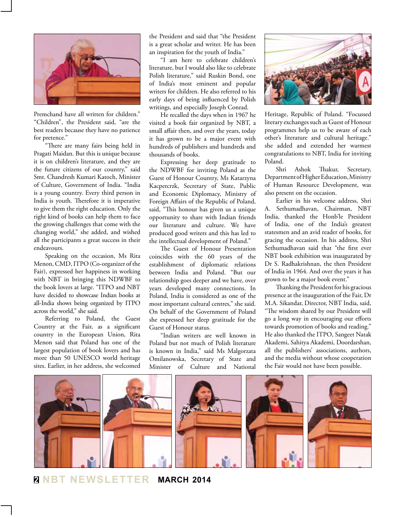

Premchand have all written for children." "Children", the President said, "are the best readers because they have no patience for pretence."

"There are many fairs being held in Pragati Maidan. But this is unique because it is on children's literature, and they are the future citizens of our country," said Smt. Chandresh Kumari Katoch, Minister of Culture, Government of India. "India is a young country. Every third person in India is youth. Therefore it is imperative to give them the right education. Only the right kind of books can help them to face the growing challenges that come with the changing world," she added, and wished all the participants a great success in their endeavours.

Speaking on the occasion, Ms Rita Menon, CMD, ITPO (Co-organizer of the Fair), expressed her happiness in working with NBT in bringing this NDWBF to the book lovers at large. "ITPO and NBT have decided to showcase Indian books at all-India shows being organized by ITPO across the world," she said.

Referring to Poland, the Guest Country at the Fair, as a significant country in the European Union, Rita Menon said that Poland has one of the largest population of book lovers and has more than 50 UNESCO world heritage sites. Earlier, in her address, she welcomed

the President and said that "the President is a great scholar and writer. He has been an inspiration for the youth of India."

"I am here to celebrate children's literature, but I would also like to celebrate Polish literature," said Ruskin Bond, one of India's most eminent and popular writers for children. He also referred to his early days of being influenced by Polish writings, and especially Joseph Conrad.

He recalled the days when in 1967 he visited a book fair organized by NBT, a small affair then, and over the years, today it has grown to be a major event with hundreds of publishers and hundreds and thousands of books.

Expressing her deep gratitude to the NDWBF for inviting Poland as the Guest of Honour Country, Ms Katarzyna Kacpercrzk, Secretary of State, Public and Economic Diplomacy, Ministry of Foreign Affairs of the Republic of Poland, said, "This honour has given us a unique opportunity to share with Indian friends our literature and culture. We have produced good writers and this has led to the intellectual development of Poland."

The Guest of Honour Presentation coincides with the 60 years of the establishment of diplomatic relations between India and Poland. "But our relationship goes deeper and we have, over years developed many connections. In Poland, India is considered as one of the most important cultural centres," she said. On behalf of the Government of Poland she expressed her deep gratitude for the Guest of Honour status.

"Indian writers are well known in Poland but not much of Polish literature is known in India," said Ms Malgorzata Omilanowska, Secretary of State and Minister of Culture and National



Heritage, Republic of Poland. "Focussed literary exchanges such as Guest of Honour programmes help us to be aware of each other's literature and cultural heritage." she added and extended her warmest congratulations to NBT, India for inviting Poland.

Shri Ashok Thakur, Secretary, Department of Higher Education, Ministry of Human Resource Development, was also present on the occasion.

Earlier in his welcome address, Shri A. Sethumadhavan, Chairman, NBT India, thanked the Honb'le President of India, one of the India's greatest statesmen and an avid reader of books, for gracing the occasion. In his address, Shri Sethumadhavan said that "the first ever NBT book exhibition was inaugurated by Dr S. Radhakrishnan, the then President of India in 1964. And over the years it has grown to be a major book event."

Thanking the President for his gracious presence at the inauguration of the Fair, Dr M.A. Sikandar, Director, NBT India, said, "The wisdom shared by our President will go a long way in encouraging our efforts towards promotion of books and reading." He also thanked the ITPO, Sangeet Natak Akademi, Sahitya Akademi, Doordarshan, all the publishers' associations, authors, and the media without whose cooperation the Fair would not have been possible.



**2 NBT Newsletter MARCH 2014**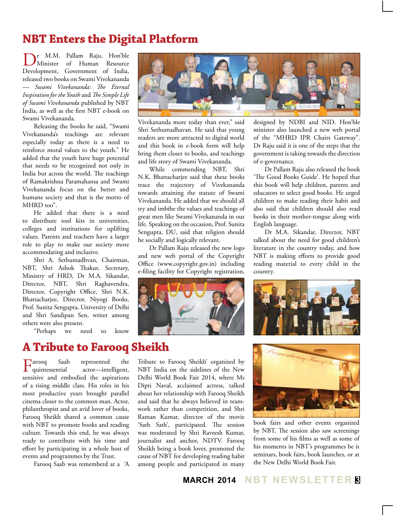## **NBT Enters the Digital Platform**

Dr M.M. Pallam Raju, Hon'ble Minister of Human Resource Development, Government of India, released two books on Swami Vivekananda — *Swami Vivekananda: The Eternal Inspiration for the Youth* and *The Simple Life of Swami Vivekananda* published by NBT India, as well as the first NBT e-book on Swami Vivekananda.

Releasing the books he said, "Swami Vivekananda's teachings are relevant especially today as there is a need to reinforce moral values to the youth." He added that the youth have huge potential that needs to be recognized not only in India but across the world. The teachings of Ramakrishna Paramahansa and Swami Vivekananda focus on the better and humane society and that is the motto of MHRD too".

He added that there is a need to distribute tool kits in universities, colleges and institutions for uplifting values. Parents and teachers have a larger role to play to make our society more accommodating and inclusive.

Shri A. Sethumadhvan, Chairman, NBT, Shri Ashok Thakur, Secretary, Ministry of HRD, Dr M.A. Sikandar, Director, NBT, Shri Raghavendra, Director, Copyright Office, Shri N.K. Bhattacharjee, Director, Niyogi Books, Prof. Sunita Sengupta, University of Delhi and Shri Sandipan Sen, writer among others were also present.

"Perhaps we need to know

#### **A Tribute to Farooq Sheikh**

Farooq Saab represented the<br>quintessential actor—intelligent, actor—intelligent, sensitive and embodied the aspirations of a rising middle class. His roles in his most productive years brought parallel cinema closer to the common man. Actor, philanthropist and an avid lover of books, Farooq Sheikh shared a common cause with NBT to promote books and reading culture. Towards this end, he was always ready to contribute with his time and effort by participating in a whole host of events and programmes by the Trust.

Farooq Saab was rememberd at a 'A



Vivekananda more today than ever," said Shri Sethumadhavan. He said that young readers are more attracted to digital world and this book in e-book form will help bring them closer to books, and teachings and life story of Swami Vivekananda.

While commending NBT, Shri N.K. Bhattacharjee said that these books trace the trajectory of Vivekananda towards attaining the statute of Swami Vivekananda. He added that we should all try and imbibe the values and teachings of great men like Swami Vivekananda in our life. Speaking on the occasion, Prof. Sunita Sengupta, DU, said that religion should be socially and logically relevant.

Dr Pallam Raju released the new logo and new web portal of the Copyright Office (www.copyright.gov.in) including e-filing facility for Copyright registration,



Tribute to Farooq Sheikh' organized by NBT India on the sidelines of the New Delhi World Book Fair 2014, where Ms Dipti Naval, acclaimed actress, talked about her relationship with Farooq Sheikh and said that he always believed in teamwork rather than competition, and Shri Raman Kumar, director of the movie 'Sath Sath', participated. The session was moderated by Shri Raveesh Kumar, journalist and anchor, NDTV. Farooq Sheikh being a book lover, promoted the cause of NBT for developing reading habit among people and participated in many

designed by NDBI and NID. Hon'ble minister also launched a new web portal of the "MHRD IPR Chairs Gateway". Dr Raju said it is one of the steps that the government is taking towards the direction of e-governance.

Dr Pallam Raju also released the book 'The Good Books Guide'. He hoped that this book will help children, parents and educators to select good books. He urged children to make reading their habit and also said that children should also read books in their mother-tongue along with English language.

Dr M.A. Sikandar, Director, NBT talked about the need for good children's literature in the country today, and how NBT is making efforts to provide good reading material to every child in the country.





book fairs and other events organized by NBT. The session also saw screenings from some of his films as well as some of his moments in NBT's programmes be it seminars, book fairs, book launches, or at the New Delhi World Book Fair.

**MARCH 2014 NBT Newsletter 3**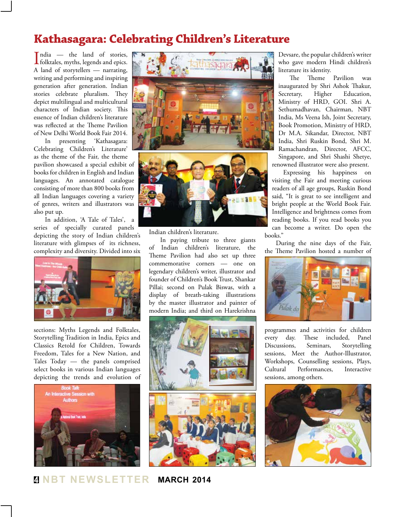## **Kathasagara: Celebrating Children's Literature**

 $\prod_{\text{hold}}$  — the land of stories,<br>folktales, myths, legends and epics. folktales, myths, legends and epics. A land of storytellers — narrating, writing and performing and inspiring generation after generation. Indian stories celebrate pluralism. They depict multilingual and multicultural characters of Indian society. This essence of Indian children's literature was reflected at the Theme Pavilion of New Delhi World Book Fair 2014.

In presenting 'Kathasagara: Celebrating Children's Literature' as the theme of the Fair, the theme pavilion showcased a special exhibit of books for children in English and Indian languages. An annotated catalogue consisting of more than 800 books from all Indian languages covering a variety of genres, writers and illustrators was also put up.

In addition, 'A Tale of Tales', a series of specially curated panels depicting the story of Indian children's literature with glimpses of its richness, complexity and diversity. Divided into six



sections: Myths Legends and Folktales, Storytelling Tradition in India, Epics and Classics Retold for Children, Towards Freedom, Tales for a New Nation, and Tales Today — the panels comprised select books in various Indian languages depicting the trends and evolution of







Indian children's literature.

In paying tribute to three giants of Indian children's literature, the Theme Pavilion had also set up three commemorative corners — one on legendary children's writer, illustrator and founder of Children's Book Trust, Shankar Pillai; second on Pulak Biswas, with a display of breath-taking illustrations by the master illustrator and painter of modern India; and third on Harekrishna



Devsare, the popular children's writer who gave modern Hindi children's literature its identity.

The Theme Pavilion was inaugurated by Shri Ashok Thakur, Secretary, Higher Education, Ministry of HRD, GOI. Shri A. Sethumadhavan, Chairman, NBT India, Ms Veena Ish, Joint Secretary, Book Promotion, Ministry of HRD, Dr M.A. Sikandar, Director, NBT India, Shri Ruskin Bond, Shri M. Ramachandran, Director, AFCC, Singapore, and Shri Shashi Shetye, renowned illustrator were also present.

Expressing his happiness on visiting the Fair and meeting curious readers of all age groups, Ruskin Bond said, "It is great to see intelligent and bright people at the World Book Fair. Intelligence and brightness comes from reading books. If you read books you can become a writer. Do open the books."

During the nine days of the Fair, the Theme Pavilion hosted a number of



programmes and activities for children every day. These included, Panel Discussions, Seminars, Storytelling sessions, Meet the Author-Illustrator, Workshops, Counselling sessions, Plays, Cultural Performances, Interactive sessions, among others.



**4 NBT Newsletter MARCH 2014**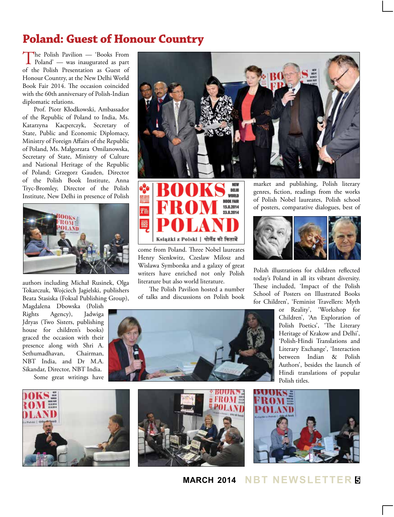## **Poland: Guest of Honour Country**

The Polish Pavilion — 'Books From<br>
Poland' — was inaugurated as part of the Polish Presentation as Guest of Honour Country, at the New Delhi World Book Fair 2014. The occasion coincided with the 60th anniversary of Polish-Indian diplomatic relations.

Prof. Piotr Kłodkowski, Ambassador of the Republic of Poland to India, Ms. Katarzyna Kacperczyk, Secretary of State, Public and Economic Diplomacy, Ministry of Foreign Affairs of the Republic of Poland, Ms. Małgorzata Omilanowska, Secretary of State, Ministry of Culture and National Heritage of the Republic of Poland; Grzegorz Gauden, Director of the Polish Book Institute, Anna Tryc-Bromley, Director of the Polish Institute, New Delhi in presence of Polish



authors including Michał Rusinek, Olga Tokarczuk, Wojciech Jagielski, publishers Beata Stasiska (Foksal Publishing Group),

Magdalena Dbowska (Polish Rights Agency), Jadwiga Jdryas (Two Sisters, publishing house for children's books) graced the occasion with their presence along with Shri A. Sethumadhavan, Chairman, NBT India, and Dr M.A. Sikandar, Director, NBT India. Some great writings have





come from Poland. Three Nobel laureates Henry Sienkwitz, Czeslaw Milosz and Wislawa Symborska and a galaxy of great writers have enriched not only Polish literature but also world literature.

The Polish Pavilion hosted a number of talks and discussions on Polish book

market and publishing, Polish literary genres, fiction, readings from the works of Polish Nobel laureates, Polish school of posters, comparative dialogues, best of



Polish illustrations for children reflected today's Poland in all its vibrant diversity. These included, 'Impact of the Polish School of Posters on Illustrated Books for Children', 'Feminist Travellers: Myth

> or Reality', 'Workshop for Children', 'An Exploration of Polish Poetics', 'The Literary Heritage of Krakow and Delhi', 'Polish-Hindi Translations and Literary Exchange', 'Interaction between Indian & Polish Authors', besides the launch of Hindi translations of popular Polish titles.







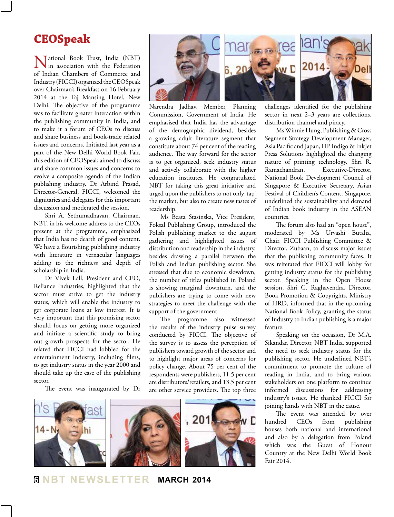#### **CEOSpeak**

National Book Trust, India (NBT) in association with the Federation of Indian Chambers of Commerce and Industry (FICCI) organized the CEOSpeak over Chairman's Breakfast on 16 February 2014 at the Taj Mansing Hotel, New Delhi. The objective of the programme was to facilitate greater interaction within the publishing community in India, and to make it a forum of CEOs to discuss and share business and book-trade related issues and concerns. Initiated last year as a part of the New Delhi World Book Fair, this edition of CEOSpeak aimed to discuss and share common issues and concerns to evolve a composite agenda of the Indian publishing industry. Dr Arbind Prasad, Director-General, FICCI, welcomed the dignitaries and delegates for this important discussion and moderated the session.

Shri A. Sethumadhavan, Chairman, NBT. in his welcome address to the CEOs present at the programme, emphasized that India has no dearth of good content. We have a flourishing publishing industry with literature in vernacular languages adding to the richness and depth of scholarship in India.

Dr Vivek Lall, President and CEO, Reliance Industries, highlighted that the sector must strive to get the industry status, which will enable the industry to get corporate loans at low interest. It is very important that this promising sector should focus on getting more organized and initiate a scientific study to bring out growth prospects for the sector. He related that FICCI had lobbied for the entertainment industry, including films, to get industry status in the year 2000 and should take up the case of the publishing sector.

The event was inaugurated by Dr



Narendra Jadhav, Member, Planning Commission, Government of India. He emphasised that India has the advantage of the demographic dividend, besides a growing adult literature segment that constitute about 74 per cent of the reading audience. The way forward for the sector is to get organized, seek industry status and actively collaborate with the higher education institutes. He congratulated NBT for taking this great initiative and urged upon the publishers to not only 'tap' the market, but also to create new tastes of readership.

Ms Beata Stasinska, Vice President, Foksal Publishing Group, introduced the Polish publishing market to the august gathering and highlighted issues of distribution and readership in the industry, besides drawing a parallel between the Polish and Indian publishing sector. She stressed that due to economic slowdown, the number of titles published in Poland is showing marginal downturn, and the publishers are trying to come with new strategies to meet the challenge with the support of the government.

The programme also witnessed the results of the industry pulse survey conducted by FICCI. The objective of the survey is to assess the perception of publishers toward growth of the sector and to highlight major areas of concerns for policy change. About 75 per cent of the respondents were publishers, 11.5 per cent are distributors/retailers, and 13.5 per cent are other service providers. The top three



challenges identified for the publishing sector in next 2–3 years are collections, distribution channel and piracy.

Ms Winnie Hung, Publishing & Cross Segment Strategy Development Manager, Asia Pacific and Japan, HP Indigo & InkJet Press Solutions highlighted the changing nature of printing technology. Shri R. Ramachandran, Executive-Director, National Book Development Council of Singapore & Executive Secretary, Asian Festival of Children's Content, Singapore, underlined the sustainability and demand of Indian book industry in the ASEAN countries.

The forum also had an "open house", moderated by Ms Urvashi Butalia, Chair, FICCI Publishing Committee & Director, Zubaan, to discuss major issues that the publishing community faces. It was reiterated that FICCI will lobby for getting industry status for the publishing sector. Speaking in the Open House session, Shri G. Raghavendra, Director, Book Promotion & Copyrights, Ministry of HRD, informed that in the upcoming National Book Policy, granting the status of Industry to Indian publishing is a major feature.

Speaking on the occasion, Dr M.A. Sikandar, Director, NBT India, supported the need to seek industry status for the publishing sector. He underlined NBT's commitment to promote the culture of reading in India, and to bring various stakeholders on one platform to continue informed discussions for addressing industry's issues. He thanked FICCI for joining hands with NBT in the cause.

The event was attended by over hundred CEOs from publishing houses both national and international and also by a delegation from Poland which was the Guest of Honour Country at the New Delhi World Book Fair 2014.

**6 NBT Newsletter MARCH 2014**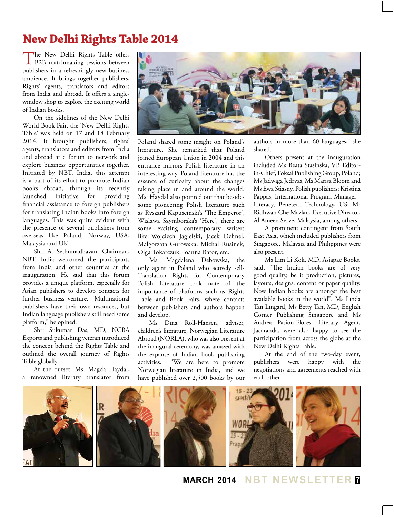## **New Delhi Rights Table 2014**

The New Delhi Rights Table offers<br>B2B matchmaking sessions between publishers in a refreshingly new business ambience. It brings together publishers, Rights' agents, translators and editors from India and abroad. It offers a singlewindow shop to explore the exciting world of Indian books.

On the sidelines of the New Delhi World Book Fair, the 'New Delhi Rights Table' was held on 17 and 18 February 2014. It brought publishers, rights' agents, translators and editors from India and abroad at a forum to network and explore business opportunities together. Initiated by NBT, India, this attempt is a part of its effort to promote Indian books abroad, through its recently launched initiative for providing financial assistance to foreign publishers for translating Indian books into foreign languages. This was quite evident with the presence of several publishers from overseas like Poland, Norway, USA, Malaysia and UK.

Shri A. Sethumadhavan, Chairman, NBT, India welcomed the participants from India and other countries at the inauguration. He said that this forum provides a unique platform, especially for Asian publishers to develop contacts for further business venture. "Multinational publishers have their own resources, but Indian language publishers still need some platform," he opined.

Shri Sukumar Das, MD, NCBA Exports and publishing veteran introduced the concept behind the Rights Table and outlined the overall journey of Rights Table globally.

At the outset, Ms. Magda Haydal, a renowned literary translator from



Poland shared some insight on Poland's literature. She remarked that Poland joined European Union in 2004 and this entrance mirrors Polish literature in an interesting way. Poland literature has the essence of curiosity about the changes taking place in and around the world. Ms. Haydal also pointed out that besides some pioneering Polish literature such as Ryszard Kapuscinski's 'The Emperor', Wislawa Szymborska's 'Here', there are some exciting contemporary writers like Wojciech Jagielski, Jacek Dehnel, Malgorzata Gurowska, Michal Rusinek, Olga Tokarczuk, Joanna Bator, etc.

Ms. Magdalena Debowska, the only agent in Poland who actively sells Translation Rights for Contemporary Polish Literature took note of the importance of platforms such as Rights Table and Book Fairs, where contacts between publishers and authors happen and develop.

Ms Dina Roll-Hansen, adviser, children's literature, Norwegian Literature Abroad (NORLA), who was also present at the inaugural ceremony, was amazed with the expanse of Indian book publishing activities. "We are here to promote Norwegian literature in India, and we have published over 2,500 books by our

authors in more than 60 languages," she shared.

Others present at the inauguration included Ms Beata Stasinska, VP, Editorin-Chief, Foksal Publishing Group, Poland; Ms Jadwiga Jedryas, Ms Marisa Bloom and Ms Ewa Stiasny, Polish publishers; Kristina Pappas, International Program Manager - Literacy, Benetech Technology, US; Mr Ridhwan Che Mazlan, Executive Director, Al Ameen Serve, Malaysia, among others.

A prominent contingent from South East Asia, which included publishers from Singapore, Malaysia and Philippines were also present.

Ms Lim Li Kok, MD, Asiapac Books, said, "The Indian books are of very good quality, be it production, pictures, layouts, designs, content or paper quality. Now Indian books are amongst the best available books in the world". Ms Linda Tan Lingard, Ms Betty Tan, MD, English Corner Publishing Singapore and Ms Andrea Pasion-Flores, Literary Agent, Jacaranda, were also happy to see the participation from across the globe at the New Delhi Rights Table.

At the end of the two-day event, publishers were happy with the negotiations and agreements reached with each other.